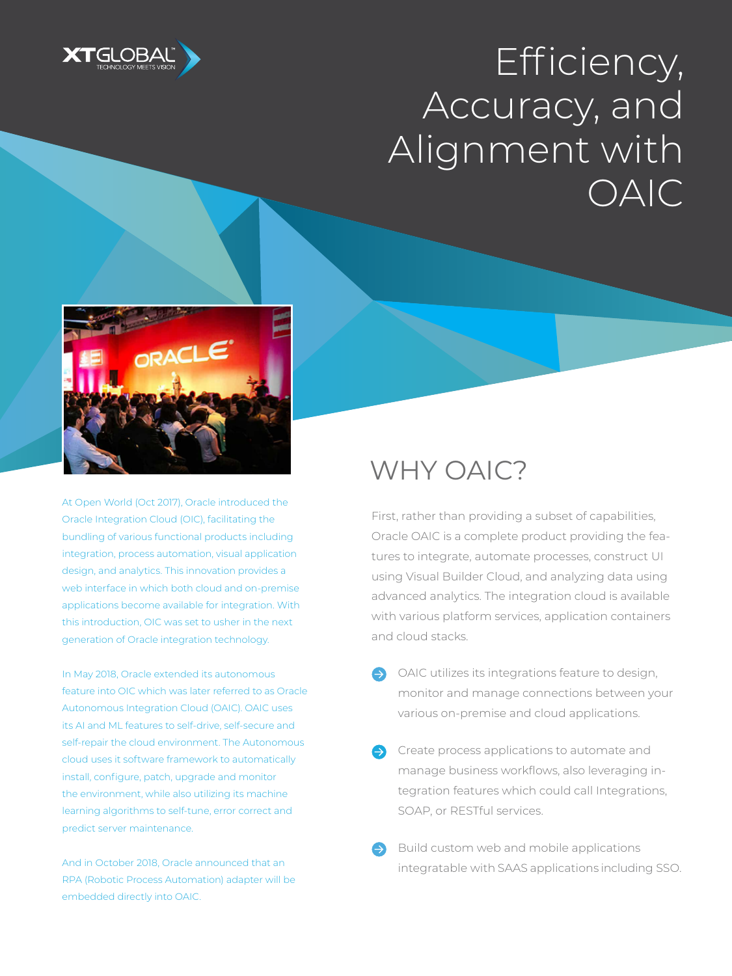

# Efficiency, Accuracy, and Alignment with OAIC



At Open World (Oct 2017), Oracle introduced the Oracle Integration Cloud (OIC), facilitating the bundling of various functional products including integration, process automation, visual application design, and analytics. This innovation provides a web interface in which both cloud and on-premise applications become available for integration. With this introduction, OIC was set to usher in the next generation of Oracle integration technology.

In May 2018, Oracle extended its autonomous feature into OIC which was later referred to as Oracle Autonomous Integration Cloud (OAIC). OAIC uses its AI and ML features to self-drive, self-secure and self-repair the cloud environment. The Autonomous cloud uses it software framework to automatically install, configure, patch, upgrade and monitor the environment, while also utilizing its machine learning algorithms to self-tune, error correct and predict server maintenance.

And in October 2018, Oracle announced that an RPA (Robotic Process Automation) adapter will be embedded directly into OAIC.

### WHY OAIC?

First, rather than providing a subset of capabilities, Oracle OAIC is a complete product providing the features to integrate, automate processes, construct UI using Visual Builder Cloud, and analyzing data using advanced analytics. The integration cloud is available with various platform services, application containers and cloud stacks.

- OAIC utilizes its integrations feature to design, monitor and manage connections between your various on-premise and cloud applications.
- Create process applications to automate and manage business workflows, also leveraging integration features which could call Integrations, SOAP, or RESTful services.
- Build custom web and mobile applications integratable with SAAS applications including SSO.